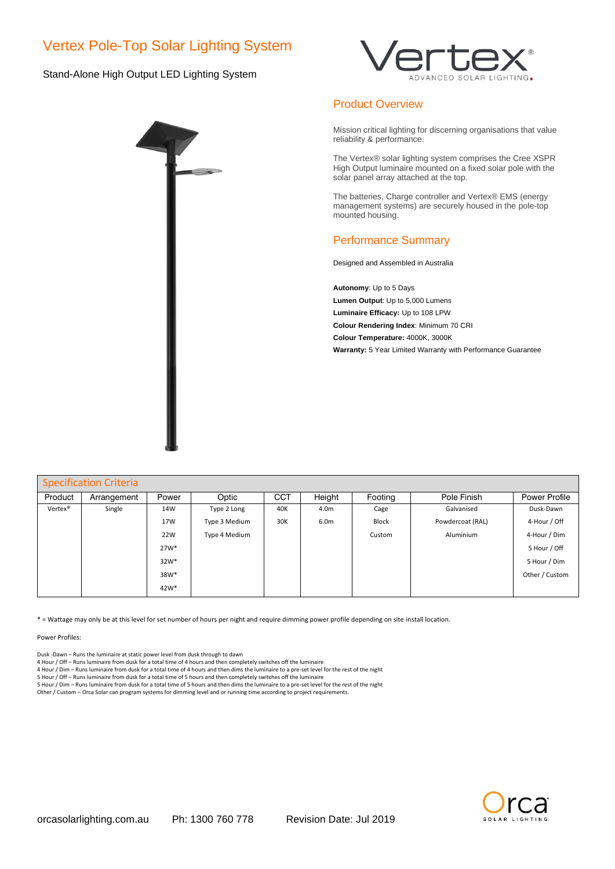# Vertex Pole-Top Solar Lighting System

## Stand-Alone High Output LED Lighting System





## Product Overview

Mission critical lighting for discerning organisations that value reliability & performance.

The Vertex® solar lighting system comprises the Cree XSPR High Output luminaire mounted on a fixed solar pole with the solar panel array attached at the top.

The batteries, Charge controller and Vertex® EMS (energy management systems) are securely housed in the pole-top mounted housing.

## Performance Summary

Designed and Assembled in Australia

**Autonomy**: Up to 5 Days **Lumen Output**: Up to 5,000 Lumens **Luminaire Efficacy:** Up to 108 LPW **Colour Rendering Index**: Minimum 70 CRI **Colour Temperature:** 4000K, 3000K **Warranty:** 5 Year Limited Warranty with Performance Guarantee

| <b>Specification Criteria</b> |             |                  |               |            |                  |         |                  |                |
|-------------------------------|-------------|------------------|---------------|------------|------------------|---------|------------------|----------------|
| Product                       | Arrangement | Power            | Optic         | <b>CCT</b> | Height           | Footing | Pole Finish      | Power Profile  |
| Vertex <sup>®</sup>           | Single      | 14W              | Type 2 Long   | 40K        | 4.0m             | Cage    | Galvanised       | Dusk-Dawn      |
|                               |             | 17W              | Type 3 Medium | 30K        | 6.0 <sub>m</sub> | Block   | Powdercoat (RAL) | 4-Hour / Off   |
|                               |             | 22W              | Type 4 Medium |            |                  | Custom  | Aluminium        | 4-Hour / Dim   |
|                               |             | $27W*$           |               |            |                  |         |                  | 5 Hour / Off   |
|                               |             | $32W*$           |               |            |                  |         |                  | 5 Hour / Dim   |
|                               |             | 38W*             |               |            |                  |         |                  | Other / Custom |
|                               |             | 42W <sup>*</sup> |               |            |                  |         |                  |                |

\* = Wattage may only be at this level for set number of hours per night and require dimming power profile depending on site install location.

Power Profiles:

Dusk -Dawn – Runs the luminaire at static power level from dusk through to dawn

4 Hour / Off – Runs luminaire from dusk for a total time of 4 hours and then completely switches off the luminaire

4 Hour / Dim – Runs luminaire from dusk for a total time of 4 hours and then dims the luminaire to a pre-set level for the rest of the night

5 Hour / Off – Runs luminaire from dusk for a total time of 5 hours and then completely switches off the luminaire<br>5 Hour / Dim – Runs luminaire from dusk for a total time of 5 hours and then dims the luminaire to a pre-se

Other / Custom – Orca Solar can program systems for dimming level and or running time according to project requirements.

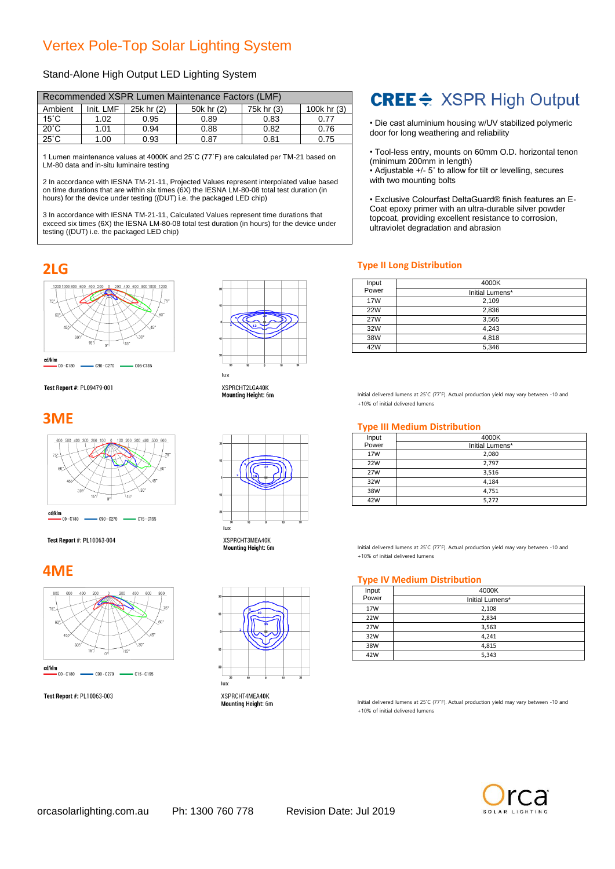# Vertex Pole-Top Solar Lighting System

## Stand-Alone High Output LED Lighting System

| Recommended XSPR Lumen Maintenance Factors (LMF) |           |            |            |            |             |
|--------------------------------------------------|-----------|------------|------------|------------|-------------|
| Ambient                                          | Init. LMF | 25k hr (2) | 50k hr (2) | 75k hr (3) | 100k hr (3) |
| $15^{\circ}$ C                                   | 1.02      | 0.95       | 0.89       | 0.83       | 0.77        |
| $20^{\circ}$ C                                   | 1.01      | 0.94       | 0.88       | 0.82       | 0.76        |
| $25^{\circ}$ C                                   | 1.00      | 0.93       | 0.87       | 0.81       | 0.75        |

1 Lumen maintenance values at 4000K and 25˚C (77˚F) are calculated per TM-21 based on LM-80 data and in-situ luminaire testing

2 In accordance with IESNA TM-21-11, Projected Values represent interpolated value based on time durations that are within six times (6X) the IESNA LM-80-08 total test duration (in hours) for the device under testing ((DUT) i.e. the packaged LED chip)

3 In accordance with IESNA TM-21-11, Calculated Values represent time durations that exceed six times (6X) the IESNA LM-80-08 total test duration (in hours) for the device under testing ((DUT) i.e. the packaged LED chip)

# CREE <sup>→</sup> XSPR High Output

• Die cast aluminium housing w/UV stabilized polymeric door for long weathering and reliability

• Tool-less entry, mounts on 60mm O.D. horizontal tenon (minimum 200mm in length)

• Adjustable +/- 5˚ to allow for tilt or levelling, secures with two mounting bolts

• Exclusive Colourfast DeltaGuard® finish features an E-Coat epoxy primer with an ultra-durable silver powder topcoat, providing excellent resistance to corrosion, ultraviolet degradation and abrasion

## **2LG Type II Long Distribution**

| Input      | 4000K           |
|------------|-----------------|
| Power      | Initial Lumens* |
| 17W        | 2,109           |
| <b>22W</b> | 2,836           |
| <b>27W</b> | 3,565           |
| 32W        | 4.243           |
| 38W        | 4,818           |
| 42W        | 5,346           |

Initial delivered lumens at 25˚C (77˚F). Actual production yield may vary between -10 and +10% of initial delivered lumens

### **Type III Medium Distribution**

| Input | 4000K           |
|-------|-----------------|
| Power | Initial Lumens* |
| 17W   | 2,080           |
| 22W   | 2,797           |
| 27W   | 3,516           |
| 32W   | 4.184           |
| 38W   | 4,751           |
| 42W   | 5,272           |

Initial delivered lumens at 25˚C (77˚F). Actual production yield may vary between -10 and +10% of initial delivered lumens

# **4ME Type IV Medium Distribution**

| Input | 4000K           |
|-------|-----------------|
| Power | Initial Lumens* |
| 17W   | 2,108           |
| 22W   | 2,834           |
| 27W   | 3,563           |
| 32W   | 4,241           |
| 38W   | 4,815           |
| 42W   | 5,343           |

Initial delivered lumens at 25˚C (77˚F). Actual production yield may vary between -10 and +10% of initial delivered lumens





Test Report #: PL09479-001

# **3ME**



#### Test Report #: PL10063-004



Test Report #: PL10063-003



XSPRCHT2LGA40K Mounting Height: 6m



**XSPRCHT3MFA40K Mounting Height: 6m** 



XSPRCHT4MEA40K Mounting Height: 6m